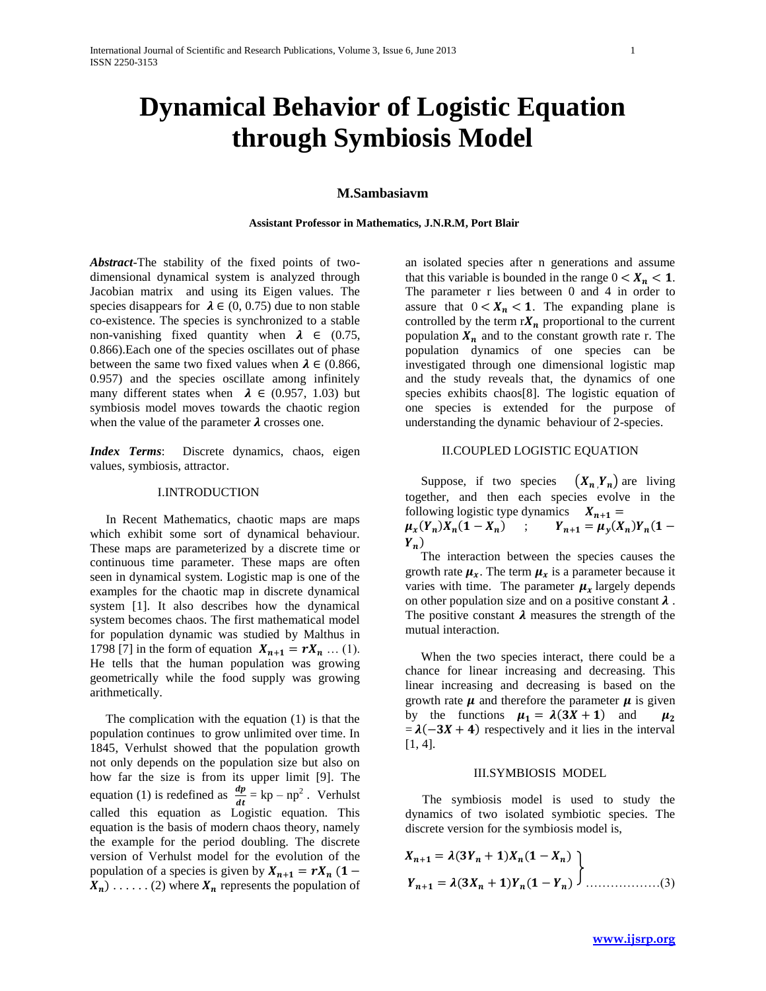# **Dynamical Behavior of Logistic Equation through Symbiosis Model**

## **M.Sambasiavm**

#### **Assistant Professor in Mathematics, J.N.R.M, Port Blair**

*Abstract*-The stability of the fixed points of twodimensional dynamical system is analyzed through Jacobian matrix and using its Eigen values. The species disappears for  $\lambda \in (0, 0.75)$  due to non stable co-existence. The species is synchronized to a stable non-vanishing fixed quantity when  $\lambda \in (0.75,$ 0.866).Each one of the species oscillates out of phase between the same two fixed values when  $\lambda \in (0.866,$ 0.957) and the species oscillate among infinitely many different states when  $\lambda \in (0.957, 1.03)$  but symbiosis model moves towards the chaotic region when the value of the parameter  $\lambda$  crosses one.

*Index Terms*: Discrete dynamics, chaos, eigen values, symbiosis, attractor.

#### I.INTRODUCTION

 In Recent Mathematics, chaotic maps are maps which exhibit some sort of dynamical behaviour. These maps are parameterized by a discrete time or continuous time parameter. These maps are often seen in dynamical system. Logistic map is one of the examples for the chaotic map in discrete dynamical system [1]. It also describes how the dynamical system becomes chaos. The first mathematical model for population dynamic was studied by Malthus in 1798 [7] in the form of equation  $X_{n+1} = rX_n ... (1)$ . He tells that the human population was growing geometrically while the food supply was growing arithmetically.

 The complication with the equation (1) is that the population continues to grow unlimited over time. In 1845, Verhulst showed that the population growth not only depends on the population size but also on how far the size is from its upper limit [9]. The equation (1) is redefined as  $\frac{dp}{dt} = kp - np^2$ . Verhulst called this equation as Logistic equation. This equation is the basis of modern chaos theory, namely the example for the period doubling. The discrete version of Verhulst model for the evolution of the population of a species is given by  $X_{n+1} = rX_n$  (1 –  $X_n$ ) ...... (2) where  $X_n$  represents the population of

an isolated species after n generations and assume that this variable is bounded in the range  $0 < X_n < 1$ . The parameter r lies between 0 and 4 in order to assure that  $0 < X_n < 1$ . The expanding plane is controlled by the term  $rX_n$  proportional to the current population  $X_n$  and to the constant growth rate r. The population dynamics of one species can be investigated through one dimensional logistic map and the study reveals that, the dynamics of one species exhibits chaos[8]. The logistic equation of one species is extended for the purpose of understanding the dynamic behaviour of 2-species.

#### II.COUPLED LOGISTIC EQUATION

Suppose, if two species  $(X_n, Y_n)$  are living together, and then each species evolve in the following logistic type dynamics  $X_{n+1} =$  $\mu_{x}(Y_n)X_n(1-X_n)$  ;  $Y_{n+1} = \mu_{y}(X_n)Y_n($  $Y_n$ )

 The interaction between the species causes the growth rate  $\mu_x$ . The term  $\mu_x$  is a parameter because it varies with time. The parameter  $\mu_x$  largely depends on other population size and on a positive constant  $\lambda$ . The positive constant  $\lambda$  measures the strength of the mutual interaction.

 When the two species interact, there could be a chance for linear increasing and decreasing. This linear increasing and decreasing is based on the growth rate  $\mu$  and therefore the parameter  $\mu$  is given by the functions  $\mu_1 = \lambda(3X + 1)$  and  $\mu_2$  $= \lambda(-3X + 4)$  respectively and it lies in the interval [1, 4].

#### III.SYMBIOSIS MODEL

 The symbiosis model is used to study the dynamics of two isolated symbiotic species. The discrete version for the symbiosis model is,

$$
X_{n+1} = \lambda (3Y_n + 1)X_n (1 - X_n)
$$
  
\n
$$
Y_{n+1} = \lambda (3X_n + 1)Y_n (1 - Y_n)
$$
 (3)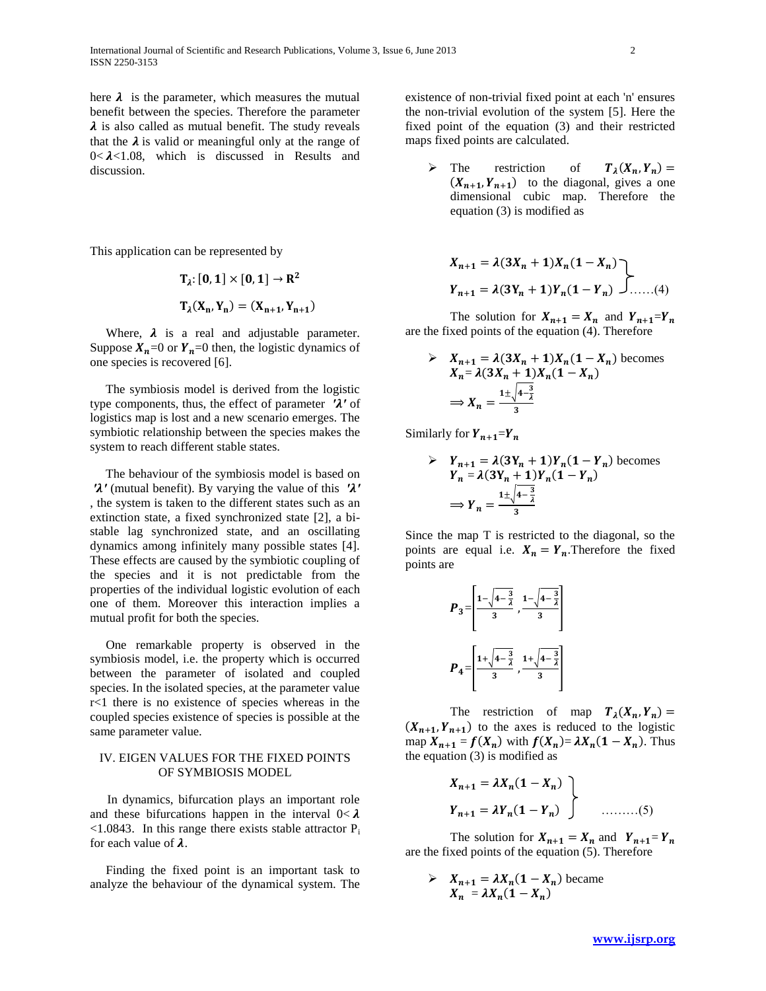here  $\lambda$  is the parameter, which measures the mutual benefit between the species. Therefore the parameter  $\lambda$  is also called as mutual benefit. The study reveals that the  $\lambda$  is valid or meaningful only at the range of  $0 < \lambda < 1.08$ , which is discussed in Results and discussion.

This application can be represented by

$$
T_{\lambda}: [0, 1] \times [0, 1] \to R^{2}
$$

$$
T_{\lambda}(X_{n}, Y_{n}) = (X_{n+1}, Y_{n+1})
$$

Where,  $\lambda$  is a real and adjustable parameter. Suppose  $X_n=0$  or  $Y_n=0$  then, the logistic dynamics of one species is recovered [6].

 The symbiosis model is derived from the logistic type components, thus, the effect of parameter  $\lambda'$  of logistics map is lost and a new scenario emerges. The symbiotic relationship between the species makes the system to reach different stable states.

 The behaviour of the symbiosis model is based on  $\lambda'$  (mutual benefit). By varying the value of this  $\lambda'$ , the system is taken to the different states such as an extinction state, a fixed synchronized state [2], a bistable lag synchronized state, and an oscillating dynamics among infinitely many possible states [4]. These effects are caused by the symbiotic coupling of the species and it is not predictable from the properties of the individual logistic evolution of each one of them. Moreover this interaction implies a mutual profit for both the species.

 One remarkable property is observed in the symbiosis model, i.e. the property which is occurred between the parameter of isolated and coupled species. In the isolated species, at the parameter value r<1 there is no existence of species whereas in the coupled species existence of species is possible at the same parameter value.

## IV. EIGEN VALUES FOR THE FIXED POINTS OF SYMBIOSIS MODEL

 In dynamics, bifurcation plays an important role and these bifurcations happen in the interval  $0 < \lambda$  $\leq$ 1.0843. In this range there exists stable attractor P<sub>i</sub> for each value of  $\lambda$ .

 Finding the fixed point is an important task to analyze the behaviour of the dynamical system. The existence of non-trivial fixed point at each 'n' ensures the non-trivial evolution of the system [5]. Here the fixed point of the equation (3) and their restricted maps fixed points are calculated.

> The restriction of  $(X_n, Y_n)$  $(X_{n+1}, Y_{n+1})$  to the diagonal, gives a one dimensional cubic map. Therefore the equation (3) is modified as

$$
X_{n+1} = \lambda (3X_n + 1)X_n (1 - X_n)
$$
  
\n
$$
Y_{n+1} = \lambda (3Y_n + 1)Y_n (1 - Y_n)
$$
........(4)

The solution for  $X_{n+1} = X_n$  and  $Y_{n+1} = Y_n$ are the fixed points of the equation (4). Therefore

$$
\sum X_{n+1} = \lambda (3X_n + 1)X_n (1 - X_n)
$$
 becomes  

$$
X_n = \lambda (3X_n + 1)X_n (1 - X_n)
$$

$$
\Rightarrow X_n = \frac{1 \pm \sqrt{4 - \frac{3}{2}}}{3}
$$

Similarly for  $Y_{n+1}=Y_n$ 

$$
\frac{\partial Y_{n+1} = \lambda (3Y_n + 1)Y_n(1 - Y_n) \text{ becomes } Y_n = \lambda (3Y_n + 1)Y_n(1 - Y_n)
$$

$$
\Rightarrow Y_n = \frac{1 \pm \sqrt{4 - \frac{3}{\lambda}}}{3}
$$

Since the map T is restricted to the diagonal, so the points are equal i.e.  $X_n = Y_n$ . Therefore the fixed points are

$$
P_3 = \left[\frac{1 - \sqrt{4 - \frac{3}{\lambda}}}{3}, \frac{1 - \sqrt{4 - \frac{3}{\lambda}}}{3}\right]
$$

$$
P_4 = \left[\frac{1 + \sqrt{4 - \frac{3}{\lambda}}}{3}, \frac{1 + \sqrt{4 - \frac{3}{\lambda}}}{3}\right]
$$

The restriction of map  $T_{\lambda}(X_n, Y_n)$  $(X_{n+1}, Y_{n+1})$  to the axes is reduced to the logistic map  $X_{n+1} = f(X_n)$  with  $f(X_n) = \lambda X_n (1 - X_n)$ . Thus the equation (3) is modified as

$$
X_{n+1} = \lambda X_n (1 - X_n)
$$
  
\n
$$
Y_{n+1} = \lambda Y_n (1 - Y_n)
$$
 \n  
\n........(5)

The solution for  $X_{n+1} = X_n$  and  $Y_{n+1} = Y_n$ are the fixed points of the equation (5). Therefore

 $\sum X_{n+1} = \lambda X_n (1 - X_n)$  became  $X_n = \lambda X_n (1 - X_n)$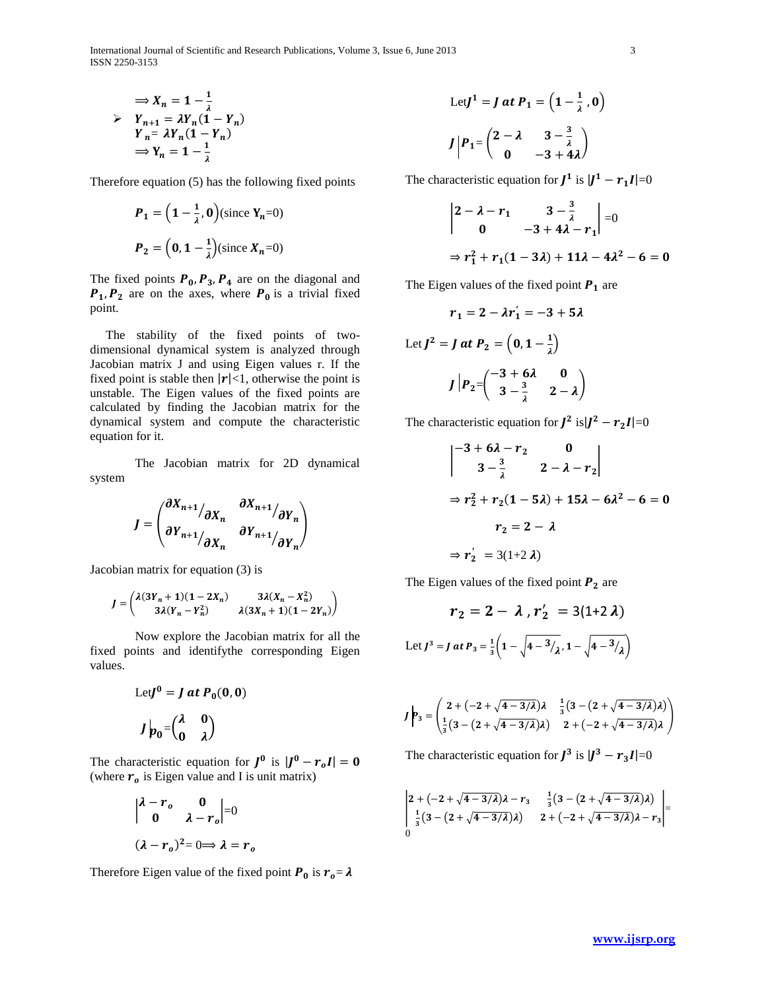International Journal of Scientific and Research Publications, Volume 3, Issue 6, June 2013 3 ISSN 2250-3153

$$
\Rightarrow X_n = 1 - \frac{1}{\lambda}
$$
  
\n
$$
\Rightarrow Y_{n+1} = \lambda Y_n (1 - Y_n)
$$
  
\n
$$
Y_n = \lambda Y_n (1 - Y_n)
$$
  
\n
$$
\Rightarrow Y_n = 1 - \frac{1}{\lambda}
$$

Therefore equation (5) has the following fixed points

$$
P_1 = \left(1 - \frac{1}{\lambda}, 0\right) \text{(since } Y_n = 0\text{)}
$$
\n
$$
P_2 = \left(0, 1 - \frac{1}{\lambda}\right) \text{(since } X_n = 0\text{)}
$$

The fixed points  $P_0$ ,  $P_3$ ,  $P_4$  are on the diagonal and  $P_1$ ,  $P_2$  are on the axes, where  $P_0$  is a trivial fixed point.

 The stability of the fixed points of twodimensional dynamical system is analyzed through Jacobian matrix J and using Eigen values r. If the fixed point is stable then  $|r|<1$ , otherwise the point is unstable. The Eigen values of the fixed points are calculated by finding the Jacobian matrix for the dynamical system and compute the characteristic equation for it.

The Jacobian matrix for 2D dynamical system

$$
J = \begin{pmatrix} \frac{\partial X_{n+1}}{\partial X_n} & \frac{\partial X_{n+1}}{\partial Y_n} \\ \frac{\partial Y_{n+1}}{\partial X_n} & \frac{\partial Y_{n+1}}{\partial Y_n} \end{pmatrix}
$$

Jacobian matrix for equation (3) is

$$
J = \begin{pmatrix} \lambda(3Y_n + 1)(1 - 2X_n) & 3\lambda(X_n - X_n^2) \\ 3\lambda(Y_n - Y_n^2) & \lambda(3X_n + 1)(1 - 2Y_n) \end{pmatrix}
$$

Now explore the Jacobian matrix for all the fixed points and identifythe corresponding Eigen values.

Let 
$$
J^0 = J
$$
 at  $P_0(0, 0)$   

$$
J p_0 = \begin{pmatrix} \lambda & 0 \\ 0 & \lambda \end{pmatrix}
$$

The characteristic equation for  $J^0$  is  $|J^0 - r_o I|$  = (where  $r<sub>o</sub>$  is Eigen value and I is unit matrix)

$$
\begin{vmatrix} \lambda - r_o & 0 \\ 0 & \lambda - r_o \end{vmatrix} = 0
$$
  

$$
(\lambda - r_o)^2 = 0 \Rightarrow \lambda = r_o
$$

Therefore Eigen value of the fixed point  $P_0$  is  $r_0 = \lambda$ 

Let 
$$
J^1 = J
$$
 at  $P_1 = \left(1 - \frac{1}{\lambda}, 0\right)$   

$$
J \Big| P_1 = \begin{pmatrix} 2 - \lambda & 3 - \frac{3}{\lambda} \\ 0 & -3 + 4\lambda \end{pmatrix}
$$

The characteristic equation for  $J^1$  is  $|J^1 - r_1 I| = 0$ 

$$
\begin{vmatrix} 2 - \lambda - r_1 & 3 - \frac{3}{\lambda} \\ 0 & -3 + 4\lambda - r_1 \end{vmatrix} = 0
$$
  
\n
$$
\Rightarrow r_1^2 + r_1(1 - 3\lambda) + 11\lambda - 4\lambda^2 - 6 = 0
$$

The Eigen values of the fixed point  $P_1$  are

$$
r_1 = 2 - \lambda r_1' = -3 + 5\lambda
$$
  
Let 
$$
J^2 = J \text{ at } P_2 = \left(0, 1 - \frac{1}{\lambda}\right)
$$

$$
J \left| P_2 = \begin{pmatrix} -3 + 6\lambda & 0 \\ 3 - \frac{3}{\lambda} & 2 - \lambda \end{pmatrix} \right|
$$

The characteristic equation for  $J^2$  is  $|J^2 - r_2 I| = 0$ 

$$
\begin{vmatrix} -3+6\lambda-r_2 & 0 \\ 3-\frac{3}{\lambda} & 2-\lambda-r_2 \end{vmatrix}
$$
  
\n
$$
\Rightarrow r_2^2 + r_2(1-5\lambda) + 15\lambda - 6\lambda^2 - 6 = 0
$$
  
\n
$$
r_2 = 2 - \lambda
$$
  
\n
$$
\Rightarrow r_2' = 3(1+2\lambda)
$$

The Eigen values of the fixed point  $P_2$  are

$$
r_2 = 2 - \lambda, r'_2 = 3(1+2\lambda)
$$
  
Let 
$$
J^3 = J \, at \, P_3 = \frac{1}{3} \left( 1 - \sqrt{4 - \frac{3}{\lambda}}, 1 - \sqrt{4 - \frac{3}{\lambda}} \right)
$$

$$
J \left| \rho_3 = \left( \frac{2 + (-2 + \sqrt{4 - 3/\lambda})\lambda}{\frac{1}{3}(3 - (2 + \sqrt{4 - 3/\lambda})\lambda)} \frac{\frac{1}{3}(3 - (2 + \sqrt{4 - 3/\lambda})\lambda)}{2 + (-2 + \sqrt{4 - 3/\lambda})\lambda} \right) \right|
$$

The characteristic equation for  $J^3$  is  $|J^3 - r_3I| = 0$ 

$$
\begin{vmatrix} 2+(-2+\sqrt{4-3/\lambda})\lambda-r_3 & \frac{1}{3}(3-(2+\sqrt{4-3/\lambda})\lambda) \\ \frac{1}{3}(3-(2+\sqrt{4-3/\lambda})\lambda) & 2+(-2+\sqrt{4-3/\lambda})\lambda-r_3 \end{vmatrix} = 0
$$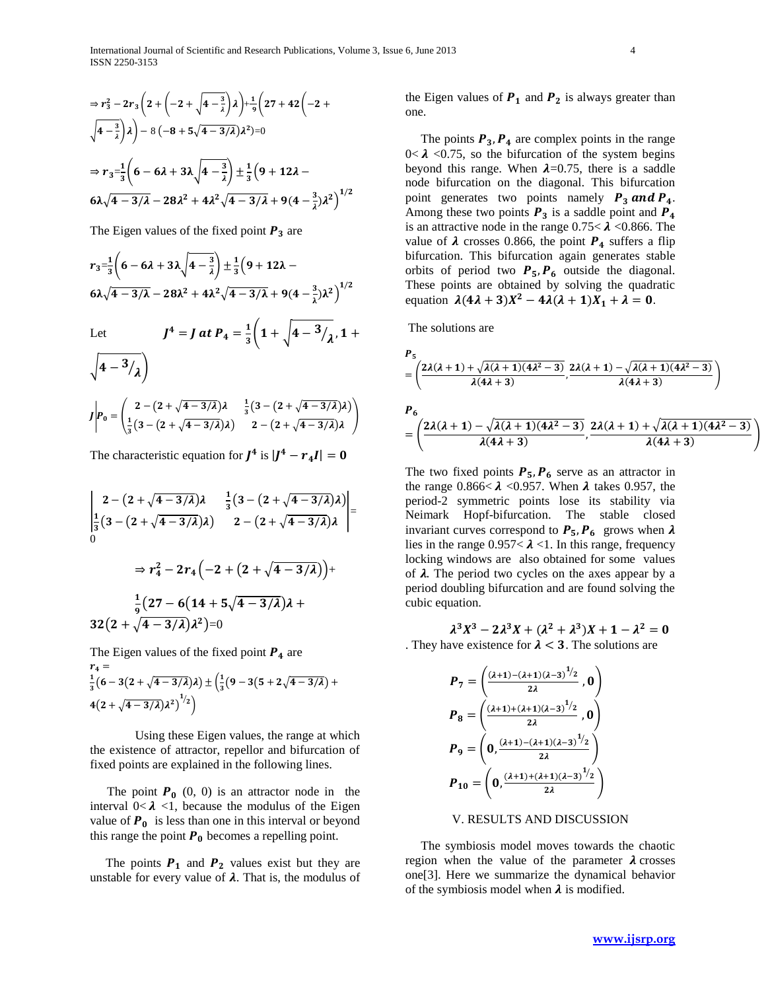$$
\Rightarrow r_3^2 - 2r_3 \left( 2 + \left( -2 + \sqrt{4 - \frac{3}{\lambda}} \right) \lambda \right) + \frac{1}{9} \left( 27 + 42 \left( -2 + \sqrt{4 - \frac{3}{\lambda}} \right) \lambda \right) - 8 \left( -8 + 5\sqrt{4 - 3/\lambda} \right) \lambda^2) = 0
$$
  

$$
\Rightarrow r_3 = \frac{1}{3} \left( 6 - 6\lambda + 3\lambda \sqrt{4 - \frac{3}{\lambda}} \right) \pm \frac{1}{3} \left( 9 + 12\lambda - 6\lambda \sqrt{4 - 3/\lambda} - 28\lambda^2 + 4\lambda^2 \sqrt{4 - 3/\lambda} + 9(4 - \frac{3}{\lambda})\lambda^2 \right)^{1/2}
$$

The Eigen values of the fixed point  $P_3$  are

$$
r_3 = \frac{1}{3}\left(6 - 6\lambda + 3\lambda\sqrt{4 - \frac{3}{\lambda}}\right) \pm \frac{1}{3}\left(9 + 12\lambda - 6\lambda\sqrt{4 - 3/\lambda} - 28\lambda^2 + 4\lambda^2\sqrt{4 - 3/\lambda} + 9(4 - \frac{3}{\lambda})\lambda^2\right)^{1/2}
$$

 $4 = I$  at  $D = \frac{1}{2}$ 

Let

Let 
$$
J^4 = J \t at P_4 = \frac{1}{3} \Big( 1 + \sqrt{4 - 3/2}, 1 + \sqrt{4 - 3/2} \Big)
$$

$$
J \bigg| P_0 = \begin{pmatrix} 2 - (2 + \sqrt{4 - 3/2})\lambda & \frac{1}{3}(3 - (2 + \sqrt{4 - 3/2})\lambda) \\ \frac{1}{3}(3 - (2 + \sqrt{4 - 3/2})\lambda) & 2 - (2 + \sqrt{4 - 3/2})\lambda \end{pmatrix}
$$

The characteristic equation for  $J^4$  is  $|J^4 - r_4 I|$  =

$$
\begin{vmatrix} 2 - (2 + \sqrt{4 - 3/\lambda})\lambda & \frac{1}{3}(3 - (2 + \sqrt{4 - 3/\lambda})\lambda) \\ \frac{1}{3}(3 - (2 + \sqrt{4 - 3/\lambda})\lambda) & 2 - (2 + \sqrt{4 - 3/\lambda})\lambda \end{vmatrix} =
$$
  
\n
$$
\Rightarrow r_4^2 - 2r_4(-2 + (2 + \sqrt{4 - 3/\lambda})) +
$$
  
\n
$$
\frac{1}{9}(27 - 6(14 + 5\sqrt{4 - 3/\lambda})\lambda +
$$
  
\n
$$
32(2 + \sqrt{4 - 3/\lambda})\lambda^2) = 0
$$

The Eigen values of the fixed point  $P_4$  are  $r_4 =$ 1  $\frac{1}{3} \big( 6 - 3 \big( 2 + \sqrt{4 - 3/\lambda} \big) \lambda \big) \pm \Big( \frac{1}{3}$  $\frac{1}{3}(9-3(5+2\sqrt{4}-3/\lambda)+$  $4(2+\sqrt{4-3/\lambda})\lambda^2)^{1/2}$ 

Using these Eigen values, the range at which the existence of attractor, repellor and bifurcation of fixed points are explained in the following lines.

The point  $P_0$  (0, 0) is an attractor node in the interval  $0 < \lambda < 1$ , because the modulus of the Eigen value of  $P_0$  is less than one in this interval or beyond this range the point  $P_0$  becomes a repelling point.

The points  $P_1$  and  $P_2$  values exist but they are unstable for every value of  $\lambda$ . That is, the modulus of the Eigen values of  $P_1$  and  $P_2$  is always greater than one.

The points  $P_3$ ,  $P_4$  are complex points in the range  $0<\lambda$  <0.75, so the bifurcation of the system begins beyond this range. When  $\lambda$ =0.75, there is a saddle node bifurcation on the diagonal. This bifurcation point generates two points namely  $P_3$  and  $P_4$ . Among these two points  $P_3$  is a saddle point and  $P_4$ is an attractive node in the range  $0.75 < \lambda < 0.866$ . The value of  $\lambda$  crosses 0.866, the point  $P_4$  suffers a flip bifurcation. This bifurcation again generates stable orbits of period two  $P_5$ ,  $P_6$  outside the diagonal. These points are obtained by solving the quadratic equation  $\lambda(4\lambda + 3)X^2 - 4\lambda(\lambda + 1)X_1 + \lambda = 0$ .

The solutions are

$$
\frac{P_5}{\lambda} = \left(\frac{2\lambda(\lambda+1)+\sqrt{\lambda(\lambda+1)(4\lambda^2-3)}}{\lambda(4\lambda+3)}, \frac{2\lambda(\lambda+1)-\sqrt{\lambda(\lambda+1)(4\lambda^2-3)}}{\lambda(4\lambda+3)}\right)
$$
\n
$$
\frac{P_6}{\lambda} = \left(\frac{2\lambda(\lambda+1)-\sqrt{\lambda(\lambda+1)(4\lambda^2-3)}}{\lambda(4\lambda+3)}, \frac{2\lambda(\lambda+1)+\sqrt{\lambda(\lambda+1)(4\lambda^2-3)}}{\lambda(4\lambda+3)}\right)
$$

)

The two fixed points  $P_5$ ,  $P_6$  serve as an attractor in the range  $0.866 < \lambda < 0.957$ . When  $\lambda$  takes 0.957, the period-2 symmetric points lose its stability via Neimark Hopf-bifurcation. The stable closed invariant curves correspond to  $P_5$ ,  $P_6$  grows when  $\lambda$ lies in the range  $0.957 < \lambda < 1$ . In this range, frequency locking windows are also obtained for some values of  $\lambda$ . The period two cycles on the axes appear by a period doubling bifurcation and are found solving the cubic equation.

 $\lambda^3 X^3 - 2\lambda^3 X + (\lambda^2 + \lambda^3) X + 1 - \lambda^2$ . They have existence for  $\lambda < 3$ . The solutions are

$$
P_7 = \left(\frac{(\lambda+1) - (\lambda+1)(\lambda-3)^{1/2}}{2\lambda}, 0\right)
$$
  
\n
$$
P_8 = \left(\frac{(\lambda+1) + (\lambda+1)(\lambda-3)^{1/2}}{2\lambda}, 0\right)
$$
  
\n
$$
P_9 = \left(0, \frac{(\lambda+1) - (\lambda+1)(\lambda-3)^{1/2}}{2\lambda}\right)
$$
  
\n
$$
P_{10} = \left(0, \frac{(\lambda+1) + (\lambda+1)(\lambda-3)^{1/2}}{2\lambda}\right)
$$

## V. RESULTS AND DISCUSSION

 The symbiosis model moves towards the chaotic region when the value of the parameter  $\lambda$  crosses one[3]. Here we summarize the dynamical behavior of the symbiosis model when  $\lambda$  is modified.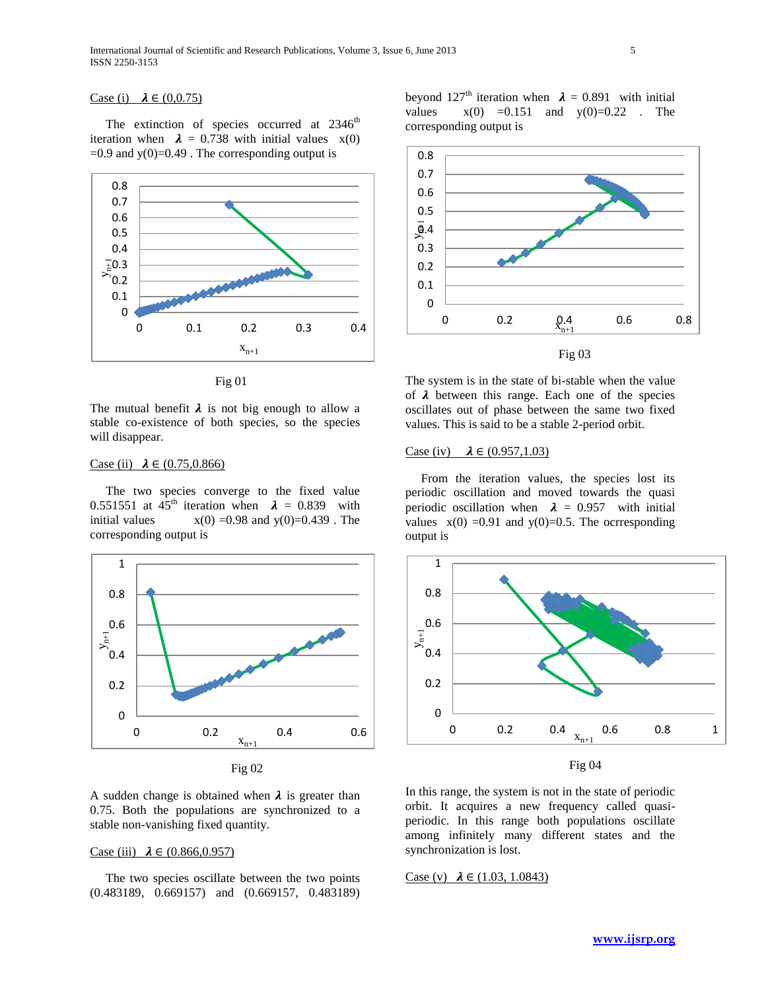## Case (i)  $\lambda \in (0,0.75)$

The extinction of species occurred at  $2346<sup>th</sup>$ iteration when  $\lambda = 0.738$  with initial values  $x(0)$  $=0.9$  and  $y(0)=0.49$ . The corresponding output is



Fig 01

The mutual benefit  $\lambda$  is not big enough to allow a stable co-existence of both species, so the species will disappear.

## Case (ii)  $\lambda \in (0.75, 0.866)$

 The two species converge to the fixed value 0.551551 at 45<sup>th</sup> iteration when  $\lambda = 0.839$  with initial values  $x(0) = 0.98$  and  $y(0)=0.439$ . The corresponding output is



Fig 02

A sudden change is obtained when  $\lambda$  is greater than 0.75. Both the populations are synchronized to a stable non-vanishing fixed quantity.

## Case (iii)  $\lambda \in (0.866, 0.957)$

 The two species oscillate between the two points (0.483189, 0.669157) and (0.669157, 0.483189) beyond 127<sup>th</sup> iteration when  $\lambda = 0.891$  with initial values  $x(0) = 0.151$  and  $y(0)=0.22$ . The corresponding output is



The system is in the state of bi-stable when the value of  $\lambda$  between this range. Each one of the species oscillates out of phase between the same two fixed values. This is said to be a stable 2-period orbit.

### Case (iv)  $\lambda \in (0.957, 1.03)$

 From the iteration values, the species lost its periodic oscillation and moved towards the quasi periodic oscillation when  $\lambda = 0.957$  with initial values  $x(0) = 0.91$  and  $y(0) = 0.5$ . The ocrresponding output is



Fig 04

In this range, the system is not in the state of periodic orbit. It acquires a new frequency called quasiperiodic. In this range both populations oscillate among infinitely many different states and the synchronization is lost.

Case (v)  $\lambda \in (1.03, 1.0843)$